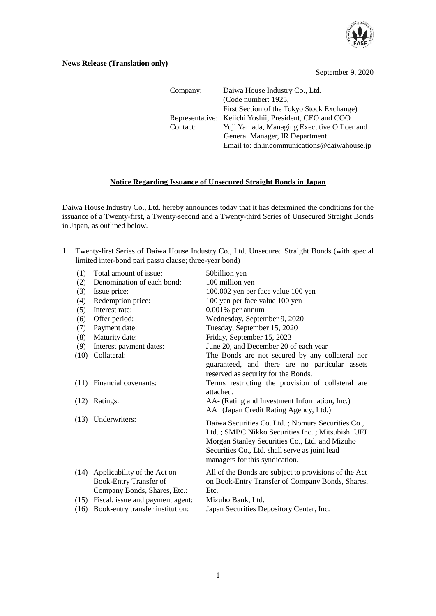

## **News Release (Translation only)**

September 9, 2020

| Company: | Daiwa House Industry Co., Ltd.                         |
|----------|--------------------------------------------------------|
|          | (Code number: 1925,                                    |
|          | First Section of the Tokyo Stock Exchange)             |
|          | Representative: Keiichi Yoshii, President, CEO and COO |
| Contact: | Yuji Yamada, Managing Executive Officer and            |
|          | General Manager, IR Department                         |
|          | Email to: dh.ir.communications@daiwahouse.jp           |
|          |                                                        |

## **Notice Regarding Issuance of Unsecured Straight Bonds in Japan**

Daiwa House Industry Co., Ltd. hereby announces today that it has determined the conditions for the issuance of a Twenty-first, a Twenty-second and a Twenty-third Series of Unsecured Straight Bonds in Japan, as outlined below.

1. Twenty-first Series of Daiwa House Industry Co., Ltd. Unsecured Straight Bonds (with special limited inter-bond pari passu clause; three-year bond)

| (1)                                      | Total amount of issue:           | 50 billion yen                                                 |
|------------------------------------------|----------------------------------|----------------------------------------------------------------|
| (2)                                      | Denomination of each bond:       | 100 million yen                                                |
| Issue price:<br>(3)                      |                                  | 100.002 yen per face value 100 yen                             |
| (4)<br>Redemption price:                 |                                  | 100 yen per face value 100 yen                                 |
| Interest rate:<br>(5)                    |                                  | $0.001\%$ per annum                                            |
| Offer period:<br>(6)                     |                                  | Wednesday, September 9, 2020                                   |
| Payment date:<br>(7)                     |                                  | Tuesday, September 15, 2020                                    |
| Maturity date:<br>(8)                    |                                  | Friday, September 15, 2023                                     |
| (9)                                      | Interest payment dates:          | June 20, and December 20 of each year                          |
| Collateral:<br>(10)                      |                                  | The Bonds are not secured by any collateral nor                |
|                                          |                                  | guaranteed, and there are no particular assets                 |
|                                          |                                  | reserved as security for the Bonds.                            |
| (11) Financial covenants:                |                                  | Terms restricting the provision of collateral are<br>attached. |
| $(12)$ Ratings:                          |                                  | AA- (Rating and Investment Information, Inc.)                  |
|                                          |                                  | AA (Japan Credit Rating Agency, Ltd.)                          |
| (13) Underwriters:                       |                                  | Daiwa Securities Co. Ltd.; Nomura Securities Co.,              |
|                                          |                                  | Ltd.; SMBC Nikko Securities Inc.; Mitsubishi UFJ               |
|                                          |                                  | Morgan Stanley Securities Co., Ltd. and Mizuho                 |
|                                          |                                  | Securities Co., Ltd. shall serve as joint lead                 |
|                                          |                                  | managers for this syndication.                                 |
| (14) Applicability of the Act on         |                                  | All of the Bonds are subject to provisions of the Act          |
|                                          | Book-Entry Transfer of           | on Book-Entry Transfer of Company Bonds, Shares,               |
|                                          | Company Bonds, Shares, Etc.:     | Etc.                                                           |
| (15)                                     | Fiscal, issue and payment agent: | Mizuho Bank, Ltd.                                              |
| Book-entry transfer institution:<br>(16) |                                  |                                                                |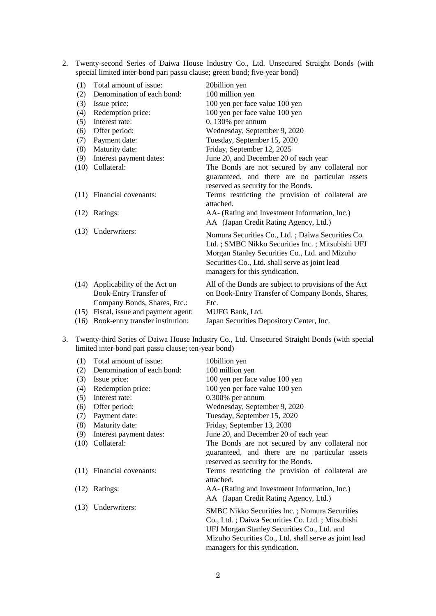2. Twenty-second Series of Daiwa House Industry Co., Ltd. Unsecured Straight Bonds (with special limited inter-bond pari passu clause; green bond; five-year bond)

| (1)  | Total amount of issue:                                                                | 20billion yen                                                                                                                                                                                                                                |
|------|---------------------------------------------------------------------------------------|----------------------------------------------------------------------------------------------------------------------------------------------------------------------------------------------------------------------------------------------|
| (2)  | Denomination of each bond:                                                            | 100 million yen                                                                                                                                                                                                                              |
| (3)  | Issue price:                                                                          | 100 yen per face value 100 yen                                                                                                                                                                                                               |
| (4)  | Redemption price:                                                                     | 100 yen per face value 100 yen                                                                                                                                                                                                               |
| (5)  | Interest rate:                                                                        | $0.130\%$ per annum                                                                                                                                                                                                                          |
| (6)  | Offer period:                                                                         | Wednesday, September 9, 2020                                                                                                                                                                                                                 |
| (7)  | Payment date:                                                                         | Tuesday, September 15, 2020                                                                                                                                                                                                                  |
| (8)  | Maturity date:                                                                        | Friday, September 12, 2025                                                                                                                                                                                                                   |
| (9)  | Interest payment dates:                                                               | June 20, and December 20 of each year                                                                                                                                                                                                        |
| (10) | Collateral:                                                                           | The Bonds are not secured by any collateral nor                                                                                                                                                                                              |
|      |                                                                                       | guaranteed, and there are no particular assets                                                                                                                                                                                               |
|      |                                                                                       | reserved as security for the Bonds.                                                                                                                                                                                                          |
|      | (11) Financial covenants:                                                             | Terms restricting the provision of collateral are<br>attached.                                                                                                                                                                               |
|      | (12) Ratings:                                                                         | AA- (Rating and Investment Information, Inc.)<br>AA (Japan Credit Rating Agency, Ltd.)                                                                                                                                                       |
|      | (13) Underwriters:                                                                    | Nomura Securities Co., Ltd. ; Daiwa Securities Co.<br>Ltd.; SMBC Nikko Securities Inc.; Mitsubishi UFJ<br>Morgan Stanley Securities Co., Ltd. and Mizuho<br>Securities Co., Ltd. shall serve as joint lead<br>managers for this syndication. |
| (14) | Applicability of the Act on<br>Book-Entry Transfer of<br>Company Bonds, Shares, Etc.: | All of the Bonds are subject to provisions of the Act<br>on Book-Entry Transfer of Company Bonds, Shares,<br>Etc.                                                                                                                            |
|      | (15) Fiscal, issue and payment agent:                                                 | MUFG Bank, Ltd.                                                                                                                                                                                                                              |

- (16) Book-entry transfer institution: Japan Securities Depository Center, Inc.
- 3. Twenty-third Series of Daiwa House Industry Co., Ltd. Unsecured Straight Bonds (with special limited inter-bond pari passu clause; ten-year bond)

| (1)  | Total amount of issue:     | 10billion yen                                         |
|------|----------------------------|-------------------------------------------------------|
| (2)  | Denomination of each bond: | 100 million yen                                       |
| (3)  | Issue price:               | 100 yen per face value 100 yen                        |
| (4)  | Redemption price:          | 100 yen per face value 100 yen                        |
| (5)  | Interest rate:             | $0.300\%$ per annum                                   |
| (6)  | Offer period:              | Wednesday, September 9, 2020                          |
| (7)  | Payment date:              | Tuesday, September 15, 2020                           |
| (8)  | Maturity date:             | Friday, September 13, 2030                            |
| (9)  | Interest payment dates:    | June 20, and December 20 of each year                 |
| (10) | Collateral:                | The Bonds are not secured by any collateral nor       |
|      |                            | guaranteed, and there are no particular assets        |
|      |                            | reserved as security for the Bonds.                   |
|      | (11) Financial covenants:  | Terms restricting the provision of collateral are     |
|      |                            | attached.                                             |
| (12) | Ratings:                   | AA- (Rating and Investment Information, Inc.)         |
|      |                            | AA (Japan Credit Rating Agency, Ltd.)                 |
|      | (13) Underwriters:         | <b>SMBC Nikko Securities Inc.; Nomura Securities</b>  |
|      |                            | Co., Ltd.; Daiwa Securities Co. Ltd.; Mitsubishi      |
|      |                            | UFJ Morgan Stanley Securities Co., Ltd. and           |
|      |                            | Mizuho Securities Co., Ltd. shall serve as joint lead |
|      |                            | managers for this syndication.                        |
|      |                            |                                                       |